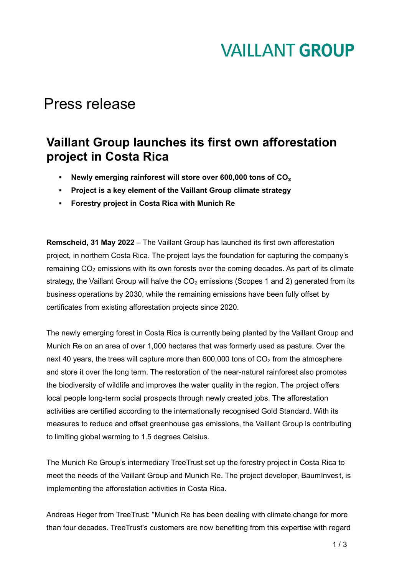## **VAILLANT GROUP**

### Press release

#### **Vaillant Group launches its first own afforestation project in Costa Rica**

- Newly emerging rainforest will store over 600,000 tons of CO<sub>2</sub>
- **Project is a key element of the Vaillant Group climate strategy**
- **Forestry project in Costa Rica with Munich Re**

**Remscheid, 31 May 2022** – The Vaillant Group has launched its first own afforestation project, in northern Costa Rica. The project lays the foundation for capturing the company's remaining CO<sub>2</sub> emissions with its own forests over the coming decades. As part of its climate strategy, the Vaillant Group will halve the  $CO<sub>2</sub>$  emissions (Scopes 1 and 2) generated from its business operations by 2030, while the remaining emissions have been fully offset by certificates from existing afforestation projects since 2020.

The newly emerging forest in Costa Rica is currently being planted by the Vaillant Group and Munich Re on an area of over 1,000 hectares that was formerly used as pasture. Over the next 40 years, the trees will capture more than  $600,000$  tons of  $CO<sub>2</sub>$  from the atmosphere and store it over the long term. The restoration of the near-natural rainforest also promotes the biodiversity of wildlife and improves the water quality in the region. The project offers local people long-term social prospects through newly created jobs. The afforestation activities are certified according to the internationally recognised Gold Standard. With its measures to reduce and offset greenhouse gas emissions, the Vaillant Group is contributing to limiting global warming to 1.5 degrees Celsius.

The Munich Re Group's intermediary TreeTrust set up the forestry project in Costa Rica to meet the needs of the Vaillant Group and Munich Re. The project developer, BaumInvest, is implementing the afforestation activities in Costa Rica.

Andreas Heger from TreeTrust: "Munich Re has been dealing with climate change for more than four decades. TreeTrust's customers are now benefiting from this expertise with regard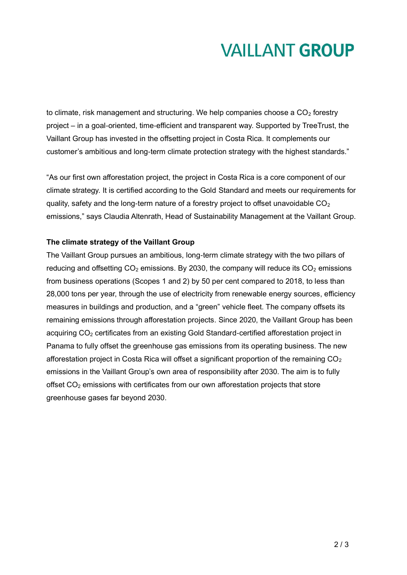# **VAILLANT GROUP**

to climate, risk management and structuring. We help companies choose a  $CO<sub>2</sub>$  forestry project – in a goal-oriented, time-efficient and transparent way. Supported by TreeTrust, the Vaillant Group has invested in the offsetting project in Costa Rica. It complements our customer's ambitious and long-term climate protection strategy with the highest standards."

"As our first own afforestation project, the project in Costa Rica is a core component of our climate strategy. It is certified according to the Gold Standard and meets our requirements for quality, safety and the long-term nature of a forestry project to offset unavoidable  $CO<sub>2</sub>$ emissions," says Claudia Altenrath, Head of Sustainability Management at the Vaillant Group.

#### **The climate strategy of the Vaillant Group**

The Vaillant Group pursues an ambitious, long-term climate strategy with the two pillars of reducing and offsetting  $CO<sub>2</sub>$  emissions. By 2030, the company will reduce its  $CO<sub>2</sub>$  emissions from business operations (Scopes 1 and 2) by 50 per cent compared to 2018, to less than 28,000 tons per year, through the use of electricity from renewable energy sources, efficiency measures in buildings and production, and a "green" vehicle fleet. The company offsets its remaining emissions through afforestation projects. Since 2020, the Vaillant Group has been acquiring CO<sub>2</sub> certificates from an existing Gold Standard-certified afforestation project in Panama to fully offset the greenhouse gas emissions from its operating business. The new afforestation project in Costa Rica will offset a significant proportion of the remaining  $CO<sub>2</sub>$ emissions in the Vaillant Group's own area of responsibility after 2030. The aim is to fully offset  $CO<sub>2</sub>$  emissions with certificates from our own afforestation projects that store greenhouse gases far beyond 2030.